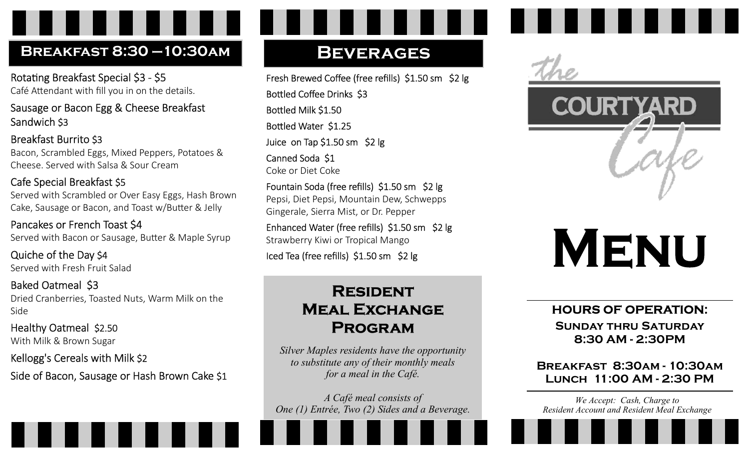# Breakfast 8:30 —10:30am

Rotating Breakfast Special \$3 - \$5 Café Attendant with fill you in on the details.

Sausage or Bacon Egg & Cheese Breakfast Sandwich \$3

Breakfast Burrito \$3 Bacon, Scrambled Eggs, Mixed Peppers, Potatoes & Cheese. Served with Salsa & Sour Cream

#### Cafe Special Breakfast \$5 Served with Scrambled or Over Easy Eggs, Hash Brown

Cake, Sausage or Bacon, and Toast w/Butter & Jelly

Pancakes or French Toast \$4 Served with Bacon or Sausage, Butter & Maple Syrup

Quiche of the Day \$4 Served with Fresh Fruit Salad

Baked Oatmeal \$3 Dried Cranberries, Toasted Nuts, Warm Milk on the Side

Healthy Oatmeal \$2.50 With Milk & Brown Sugar

#### Kellogg's Cereals with Milk \$2

Side of Bacon, Sausage or Hash Brown Cake \$1

# **BEVERAGES**

Fresh Brewed Coffee (free refills) \$1.50 sm \$2 lg Bottled Coffee Drinks \$3 Bottled Milk \$1.50 Bottled Water \$1.25 Juice on Tap \$1.50 sm \$2 lg Canned Soda \$1 Coke or Diet Coke

Fountain Soda (free refills) \$1.50 sm \$2 lg Pepsi, Diet Pepsi, Mountain Dew, Schwepps Gingerale, Sierra Mist, or Dr. Pepper

Enhanced Water (free refills) \$1.50 sm \$2 lg Strawberry Kiwi or Tropical Mango

Iced Tea (free refills) \$1.50 sm \$2 lg

# **RESIDENT MEAL EXCHANGE PROGRAM**

Silver Maples residents have the opportunity to substitute any of their monthly meals for a meal in the Café.

A Café meal consists of One (1) Entrée, Two (2) Sides and a Beverage.





# **MENU**

### HOURS OF OPERATION:

Sunday thru Saturday 8:30 AM - 2:30PM

Breakfast 8:30am - 10:30am Lunch 11:00 AM - 2:30 PM

We Accept: Cash, Charge to Resident Account and Resident Meal Exchange